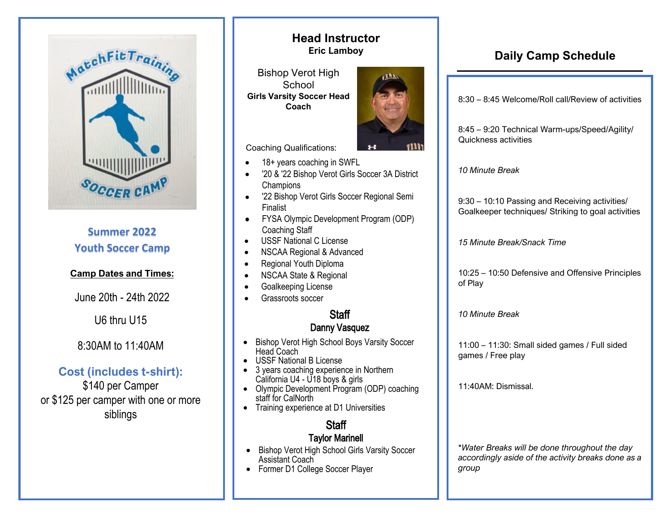

# **Summer 2022 Youth Soccer Camp**

### **Camp Dates and Times:**

June 20th - 24th 2022

U6 thru U15

## 8:30AM to 11:40AM

# **Cost (includes t-shirt):**

\$140 per Camper or \$125 per camper with one or more siblings

## **Head Instructor Eric Lamboy**

Bishop Verot High **School Girls Varsity Soccer Head Coach** 



Coaching Qualifications:

- 18+ years coaching in SWFL
- '20 & '22 Bishop Verot Girls Soccer 3A District **Champions**
- '22 Bishop Verot Girls Soccer Regional Semi Finalist •
- FYSA Olympic Development Program (ODP) Coaching Staff
- USSF National C License
- NSCAA Regional & Advanced
- Regional Youth Diploma
- NSCAA State & Regional
- Goalkeeping License
- Grassroots soccer

# **Staff**

### Danny Vasquez

- Bishop Verot High School Boys Varsity Soccer Head Coach
- •USSF National B License
- 3 years coaching experience in Northern California U4 - U18 boys & girls
- • Olympic Development Program (ODP) coaching staff for CalNorth
- Training experience at D1 Universities

# **Staff**

### Taylor Marinell

- • Bishop Verot High School Girls Varsity Soccer Assistant Coach
- Former D1 College Soccer Player

# **Daily Camp Schedule**

8:30 – 8:45 Welcome/Roll call/Review of activities

8:45 – 9:20 Technical Warm-ups/Speed/Agility/ Quickness activities

*10 Minute Break* 

9:30 – 10:10 Passing and Receiving activities/ Goalkeeper techniques/ Striking to goal activities

*15 Minute Break/Snack Time* 

10:25 – 10:50 Defensive and Offensive Principles of Play

*10 Minute Break* 

11:00 – 11:30: Small sided games / Full sided games / Free play

11:40AM: Dismissal.

*\*Water Breaks will be done throughout the day accordingly aside of the activity breaks done as a group*